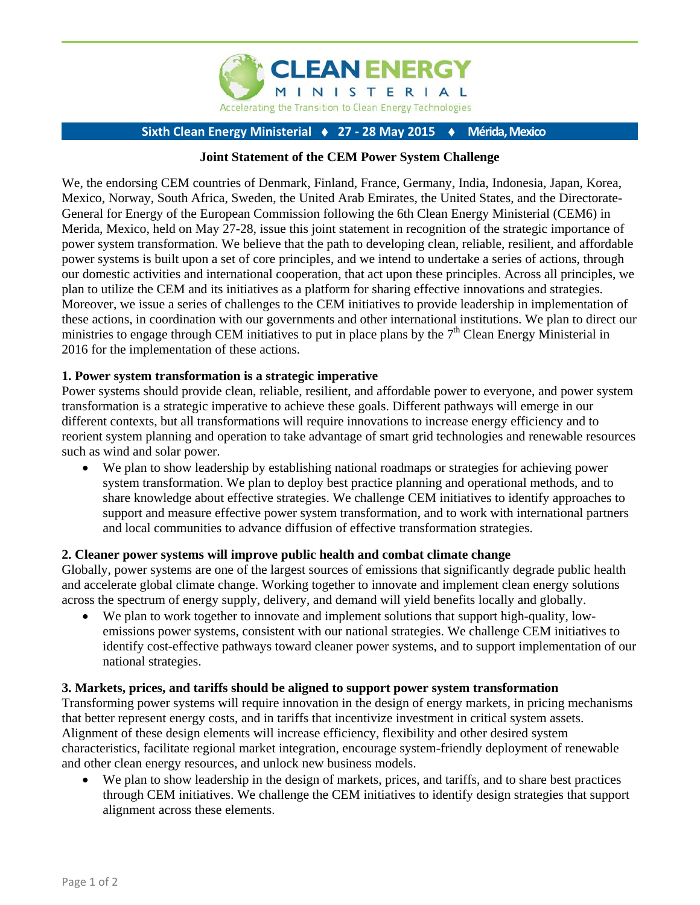

### **Sixth Clean Energy Ministerial 27 ‐ 28 May 2015 Mérida,Mexico**

### **Joint Statement of the CEM Power System Challenge**

We, the endorsing CEM countries of Denmark, Finland, France, Germany, India, Indonesia, Japan, Korea, Mexico, Norway, South Africa, Sweden, the United Arab Emirates, the United States, and the Directorate-General for Energy of the European Commission following the 6th Clean Energy Ministerial (CEM6) in Merida, Mexico, held on May 27-28, issue this joint statement in recognition of the strategic importance of power system transformation. We believe that the path to developing clean, reliable, resilient, and affordable power systems is built upon a set of core principles, and we intend to undertake a series of actions, through our domestic activities and international cooperation, that act upon these principles. Across all principles, we plan to utilize the CEM and its initiatives as a platform for sharing effective innovations and strategies. Moreover, we issue a series of challenges to the CEM initiatives to provide leadership in implementation of these actions, in coordination with our governments and other international institutions. We plan to direct our ministries to engage through CEM initiatives to put in place plans by the  $7<sup>th</sup>$  Clean Energy Ministerial in 2016 for the implementation of these actions.

### **1. Power system transformation is a strategic imperative**

Power systems should provide clean, reliable, resilient, and affordable power to everyone, and power system transformation is a strategic imperative to achieve these goals. Different pathways will emerge in our different contexts, but all transformations will require innovations to increase energy efficiency and to reorient system planning and operation to take advantage of smart grid technologies and renewable resources such as wind and solar power.

 We plan to show leadership by establishing national roadmaps or strategies for achieving power system transformation. We plan to deploy best practice planning and operational methods, and to share knowledge about effective strategies. We challenge CEM initiatives to identify approaches to support and measure effective power system transformation, and to work with international partners and local communities to advance diffusion of effective transformation strategies.

#### **2. Cleaner power systems will improve public health and combat climate change**

Globally, power systems are one of the largest sources of emissions that significantly degrade public health and accelerate global climate change. Working together to innovate and implement clean energy solutions across the spectrum of energy supply, delivery, and demand will yield benefits locally and globally.

We plan to work together to innovate and implement solutions that support high-quality, lowemissions power systems, consistent with our national strategies. We challenge CEM initiatives to identify cost-effective pathways toward cleaner power systems, and to support implementation of our national strategies.

#### **3. Markets, prices, and tariffs should be aligned to support power system transformation**

Transforming power systems will require innovation in the design of energy markets, in pricing mechanisms that better represent energy costs, and in tariffs that incentivize investment in critical system assets. Alignment of these design elements will increase efficiency, flexibility and other desired system characteristics, facilitate regional market integration, encourage system-friendly deployment of renewable and other clean energy resources, and unlock new business models.

We plan to show leadership in the design of markets, prices, and tariffs, and to share best practices through CEM initiatives. We challenge the CEM initiatives to identify design strategies that support alignment across these elements.